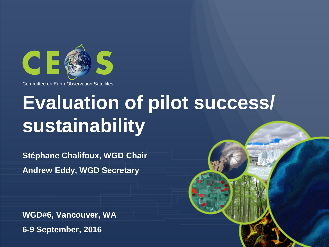

# **Evaluation of pilot success/ sustainability**

**Stéphane Chalifoux, WGD Chair Andrew Eddy, WGD Secretary**

**WGD#6, Vancouver, WA 6-9 September, 2016**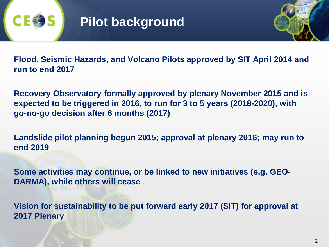



**Flood, Seismic Hazards, and Volcano Pilots approved by SIT April 2014 and run to end 2017**

**Recovery Observatory formally approved by plenary November 2015 and is expected to be triggered in 2016, to run for 3 to 5 years (2018-2020), with go-no-go decision after 6 months (2017)**

**Landslide pilot planning begun 2015; approval at plenary 2016; may run to end 2019**

**Some activities may continue, or be linked to new initiatives (e.g. GEO-DARMA), while others will cease**

**Vision for sustainability to be put forward early 2017 (SIT) for approval at 2017 Plenary**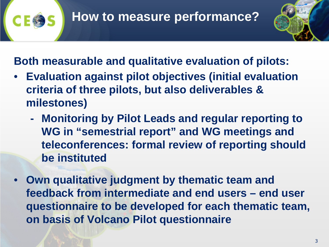

**Both measurable and qualitative evaluation of pilots:**

- **Evaluation against pilot objectives (initial evaluation criteria of three pilots, but also deliverables & milestones)**
	- **- Monitoring by Pilot Leads and regular reporting to WG in "semestrial report" and WG meetings and teleconferences: formal review of reporting should be instituted**
- **Own qualitative judgment by thematic team and feedback from intermediate and end users – end user questionnaire to be developed for each thematic team, on basis of Volcano Pilot questionnaire**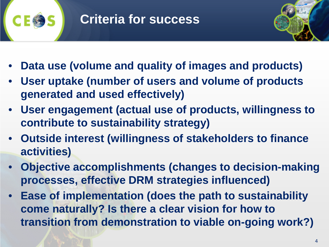



- **Data use (volume and quality of images and products)**
- **User uptake (number of users and volume of products generated and used effectively)**
- **User engagement (actual use of products, willingness to contribute to sustainability strategy)**
- **Outside interest (willingness of stakeholders to finance activities)**
- **Objective accomplishments (changes to decision-making processes, effective DRM strategies influenced)**
- **Ease of implementation (does the path to sustainability come naturally? Is there a clear vision for how to transition from demonstration to viable on-going work?)**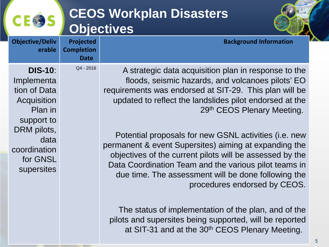#### **Projected CEOS Workplan Disasters Objectives**



|  | <b>Objective/Deliv</b><br>erable                                                                                                                      | <b>Projected</b><br><b>Completion</b><br><b>Date</b> | <b>Background Information</b>                                                                                                                                                                                                                                                                      |
|--|-------------------------------------------------------------------------------------------------------------------------------------------------------|------------------------------------------------------|----------------------------------------------------------------------------------------------------------------------------------------------------------------------------------------------------------------------------------------------------------------------------------------------------|
|  | <b>DIS-10:</b><br>Implementa<br>tion of Data<br>Acquisition<br>Plan in<br>support to<br>DRM pilots,<br>data<br>coordination<br>for GNSL<br>supersites | Q4 - 2016                                            | A strategic data acquisition plan in response to the<br>floods, seismic hazards, and volcanoes pilots' EO<br>requirements was endorsed at SIT-29. This plan will be<br>updated to reflect the landslides pilot endorsed at the<br>29th CEOS Plenary Meeting.                                       |
|  |                                                                                                                                                       |                                                      | Potential proposals for new GSNL activities ( <i>i.e.</i> new<br>permanent & event Supersites) aiming at expanding the<br>objectives of the current pilots will be assessed by the<br>Data Coordination Team and the various pilot teams in<br>due time. The assessment will be done following the |

procedures endorsed by CEOS.

The status of implementation of the plan, and of the pilots and supersites being supported, will be reported at SIT-31 and at the 30<sup>th</sup> CEOS Plenary Meeting.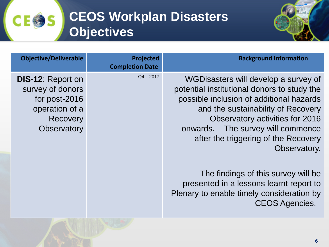## **CEOS Workplan Disasters Objectives**

**CEOS** 



| <b>Objective/Deliverable</b>                                                                                      | Projected<br><b>Completion Date</b> | <b>Background Information</b>                                                                                                                                                                                                                                                                          |
|-------------------------------------------------------------------------------------------------------------------|-------------------------------------|--------------------------------------------------------------------------------------------------------------------------------------------------------------------------------------------------------------------------------------------------------------------------------------------------------|
| <b>DIS-12: Report on</b><br>survey of donors<br>for post-2016<br>operation of a<br>Recovery<br><b>Observatory</b> | $Q4 - 2017$                         | WGD isasters will develop a survey of<br>potential institutional donors to study the<br>possible inclusion of additional hazards<br>and the sustainability of Recovery<br>Observatory activities for 2016<br>onwards. The survey will commence<br>after the triggering of the Recovery<br>Observatory. |
|                                                                                                                   |                                     | The findings of this survey will be<br>presented in a lessons learnt report to<br>Plenary to enable timely consideration by<br><b>CEOS Agencies.</b>                                                                                                                                                   |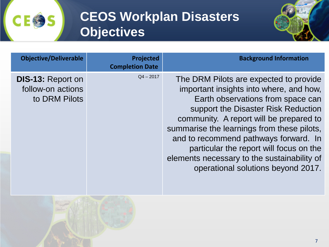## **CEOS Workplan Disasters Objectives**



| <b>Objective/Deliverable</b>                                   | Projected<br><b>Completion Date</b> | <b>Background Information</b>                                                                                                                                                                                                                                                                                                                                                                                                   |
|----------------------------------------------------------------|-------------------------------------|---------------------------------------------------------------------------------------------------------------------------------------------------------------------------------------------------------------------------------------------------------------------------------------------------------------------------------------------------------------------------------------------------------------------------------|
| <b>DIS-13: Report on</b><br>follow-on actions<br>to DRM Pilots | $Q4 - 2017$                         | The DRM Pilots are expected to provide<br>important insights into where, and how,<br>Earth observations from space can<br>support the Disaster Risk Reduction<br>community. A report will be prepared to<br>summarise the learnings from these pilots,<br>and to recommend pathways forward. In<br>particular the report will focus on the<br>elements necessary to the sustainability of<br>operational solutions beyond 2017. |



**CE命S**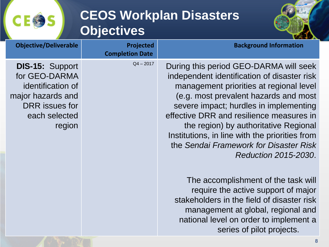#### **CEOS Workplan Disasters Objectives**

**CE®** 

S



| <b>Objective/Deliverable</b>                                                                                                   | Projected<br><b>Completion Date</b> | <b>Background Information</b>                                                                                                                                                                                                                                                                                                                                                                                                |
|--------------------------------------------------------------------------------------------------------------------------------|-------------------------------------|------------------------------------------------------------------------------------------------------------------------------------------------------------------------------------------------------------------------------------------------------------------------------------------------------------------------------------------------------------------------------------------------------------------------------|
| <b>DIS-15: Support</b><br>for GEO-DARMA<br>identification of<br>major hazards and<br>DRR issues for<br>each selected<br>region | $Q4 - 2017$                         | During this period GEO-DARMA will seek<br>independent identification of disaster risk<br>management priorities at regional level<br>(e.g. most prevalent hazards and most<br>severe impact; hurdles in implementing<br>effective DRR and resilience measures in<br>the region) by authoritative Regional<br>Institutions, in line with the priorities from<br>the Sendai Framework for Disaster Risk<br>Reduction 2015-2030. |
|                                                                                                                                |                                     | The accomplishment of the task will<br>require the active support of major<br>stakeholders in the field of disaster risk<br>management at global, regional and<br>national level on order to implement a<br>series of pilot projects.                                                                                                                                                                                        |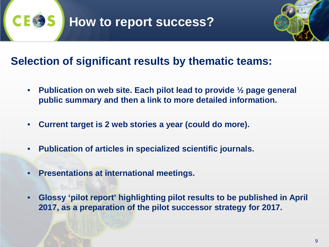



#### **Selection of significant results by thematic teams:**

- **Publication on web site. Each pilot lead to provide ½ page general public summary and then a link to more detailed information.**
- **Current target is 2 web stories a year (could do more).**
- **Publication of articles in specialized scientific journals.**
- **Presentations at international meetings.**
- **Glossy 'pilot report' highlighting pilot results to be published in April 2017, as a preparation of the pilot successor strategy for 2017.**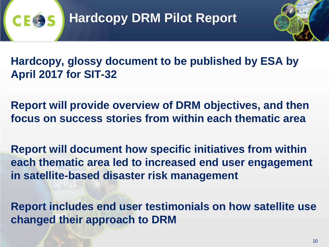

**Hardcopy, glossy document to be published by ESA by April 2017 for SIT-32**

**Report will provide overview of DRM objectives, and then focus on success stories from within each thematic area**

**Report will document how specific initiatives from within each thematic area led to increased end user engagement in satellite-based disaster risk management** 

**Report includes end user testimonials on how satellite use changed their approach to DRM**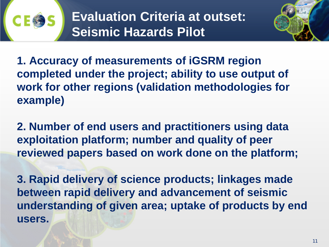

**Evaluation Criteria at outset: Seismic Hazards Pilot**



**1. Accuracy of measurements of iGSRM region completed under the project; ability to use output of work for other regions (validation methodologies for example)**

**2. Number of end users and practitioners using data exploitation platform; number and quality of peer reviewed papers based on work done on the platform;**

**3. Rapid delivery of science products; linkages made between rapid delivery and advancement of seismic understanding of given area; uptake of products by end users.**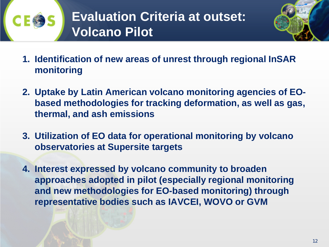



- **1. Identification of new areas of unrest through regional InSAR monitoring**
- **2. Uptake by Latin American volcano monitoring agencies of EObased methodologies for tracking deformation, as well as gas, thermal, and ash emissions**
- **3. Utilization of EO data for operational monitoring by volcano observatories at Supersite targets**
- **4. Interest expressed by volcano community to broaden approaches adopted in pilot (especially regional monitoring and new methodologies for EO-based monitoring) through representative bodies such as IAVCEI, WOVO or GVM**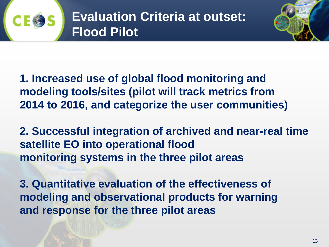



**1. Increased use of global flood monitoring and modeling tools/sites (pilot will track metrics from 2014 to 2016, and categorize the user communities)**

**2. Successful integration of archived and near-real time satellite EO into operational flood monitoring systems in the three pilot areas**

**3. Quantitative evaluation of the effectiveness of modeling and observational products for warning and response for the three pilot areas**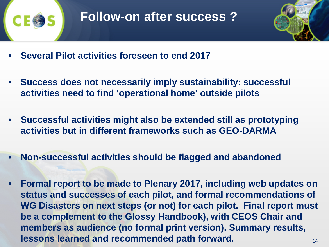



- **Several Pilot activities foreseen to end 2017**
- **Success does not necessarily imply sustainability: successful activities need to find 'operational home' outside pilots**
- **Successful activities might also be extended still as prototyping activities but in different frameworks such as GEO-DARMA**
- **Non-successful activities should be flagged and abandoned**
- 14 • **Formal report to be made to Plenary 2017, including web updates on status and successes of each pilot, and formal recommendations of WG Disasters on next steps (or not) for each pilot. Final report must be a complement to the Glossy Handbook), with CEOS Chair and members as audience (no formal print version). Summary results, lessons learned and recommended path forward.**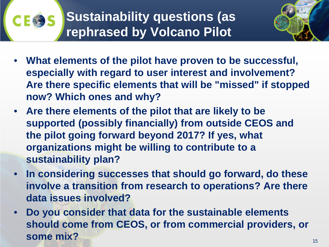

- **What elements of the pilot have proven to be successful, especially with regard to user interest and involvement? Are there specific elements that will be "missed" if stopped now? Which ones and why?**
- **Are there elements of the pilot that are likely to be supported (possibly financially) from outside CEOS and the pilot going forward beyond 2017? If yes, what organizations might be willing to contribute to a sustainability plan?**
- **In considering successes that should go forward, do these involve a transition from research to operations? Are there data issues involved?**
- **Do you consider that data for the sustainable elements should come from CEOS, or from commercial providers, or some mix?**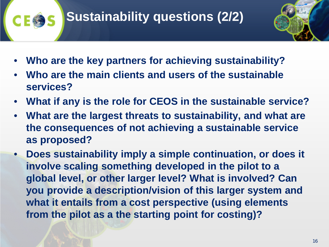## **Sustainability questions (2/2)**



- **Who are the key partners for achieving sustainability?**
- **Who are the main clients and users of the sustainable services?**
- **What if any is the role for CEOS in the sustainable service?**
- **What are the largest threats to sustainability, and what are the consequences of not achieving a sustainable service as proposed?**
- **Does sustainability imply a simple continuation, or does it involve scaling something developed in the pilot to a global level, or other larger level? What is involved? Can you provide a description/vision of this larger system and what it entails from a cost perspective (using elements from the pilot as a the starting point for costing)?**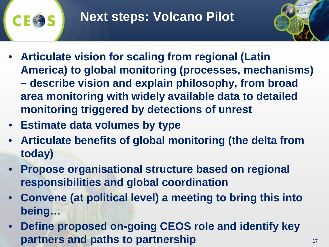## **Next steps: Volcano Pilot**



- **Articulate vision for scaling from regional (Latin America) to global monitoring (processes, mechanisms) – describe vision and explain philosophy, from broad area monitoring with widely available data to detailed monitoring triggered by detections of unrest**
- **Estimate data volumes by type**
- **Articulate benefits of global monitoring (the delta from today)**
- **Propose organisational structure based on regional responsibilities and global coordination**
- **Convene (at political level) a meeting to bring this into being…**
- **Define proposed on-going CEOS role and identify key partners and paths to partnership**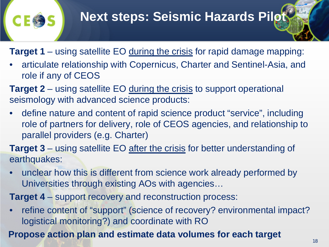#### **Next steps: Seismic Hazards Pilot**

**Target 1** – using satellite EO during the crisis for rapid damage mapping:

• articulate relationship with Copernicus, Charter and Sentinel-Asia, and role if any of CEOS

**Target 2** – using satellite EO during the crisis to support operational seismology with advanced science products:

• define nature and content of rapid science product "service", including role of partners for delivery, role of CEOS agencies, and relationship to parallel providers (e.g. Charter)

**Target 3** – using satellite EO after the crisis for better understanding of earthquakes:

• unclear how this is different from science work already performed by Universities through existing AOs with agencies…

**Target 4** – support recovery and reconstruction process:

• refine content of "support" (science of recovery? environmental impact? logistical monitoring?) and coordinate with RO

**Propose action plan and estimate data volumes for each target**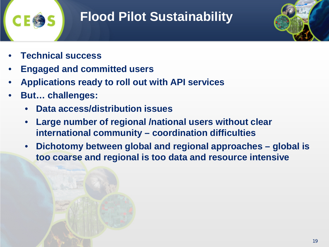

### **Flood Pilot Sustainability**

- **Technical success**
- **Engaged and committed users**
- **Applications ready to roll out with API services**
- **But… challenges:**
	- **Data access/distribution issues**
	- **Large number of regional /national users without clear international community – coordination difficulties**
	- **Dichotomy between global and regional approaches – global is too coarse and regional is too data and resource intensive**